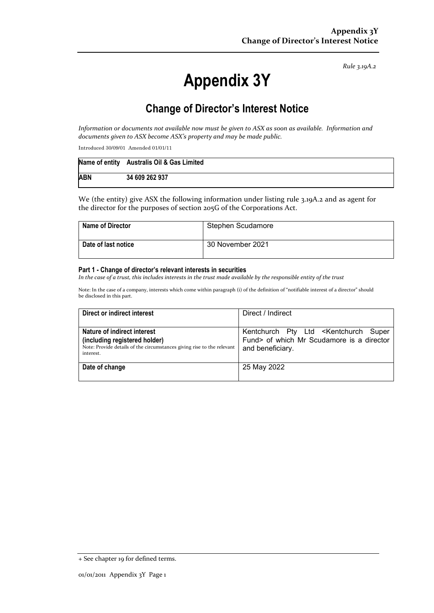*Rule 3.19A.2*

# **Appendix 3Y**

# **Change of Director's Interest Notice**

*Information or documents not available now must be given to ASX as soon as available. Information and documents given to ASX become ASX's property and may be made public.* 

Introduced 30/09/01 Amended 01/01/11

|            | Name of entity Australis Oil & Gas Limited |
|------------|--------------------------------------------|
| <b>ABN</b> | 34 609 262 937                             |

We (the entity) give ASX the following information under listing rule 3.19A.2 and as agent for the director for the purposes of section 205G of the Corporations Act.

| <b>Name of Director</b> | Stephen Scudamore |
|-------------------------|-------------------|
| Date of last notice     | 30 November 2021  |

#### **Part 1 - Change of director's relevant interests in securities**

In the case of a trust, this includes interests in the trust made available by the responsible entity of the trust

Note: In the case of a company, interests which come within paragraph (i) of the definition of "notifiable interest of a director" should be disclosed in this part.

| Direct or indirect interest                                                                                                                         | Direct / Indirect                                                                                                         |  |
|-----------------------------------------------------------------------------------------------------------------------------------------------------|---------------------------------------------------------------------------------------------------------------------------|--|
| Nature of indirect interest<br>(including registered holder)<br>Note: Provide details of the circumstances giving rise to the relevant<br>interest. | Kentchurch Pty Ltd <kentchurch super<br="">Fund&gt; of which Mr Scudamore is a director<br/>and beneficiary.</kentchurch> |  |
| Date of change                                                                                                                                      | 25 May 2022                                                                                                               |  |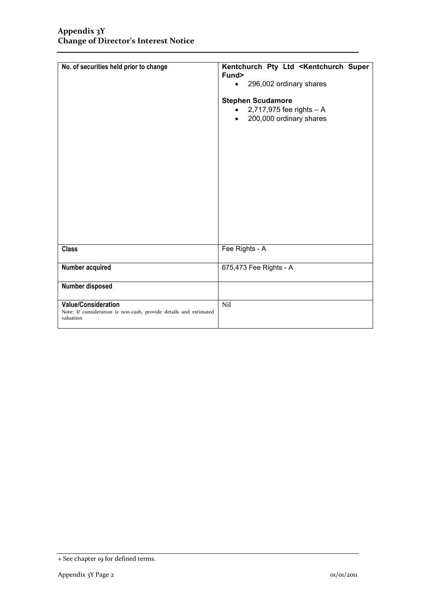| No. of securities held prior to change                                                                       | Kentchurch Pty Ltd <kentchurch super<br="">Fund&gt;<br/>296,002 ordinary shares<br/><b>Stephen Scudamore</b><br/>2,717,975 fee rights - A<br/>200,000 ordinary shares<br/><math>\bullet</math></kentchurch> |
|--------------------------------------------------------------------------------------------------------------|-------------------------------------------------------------------------------------------------------------------------------------------------------------------------------------------------------------|
| <b>Class</b>                                                                                                 | Fee Rights - A                                                                                                                                                                                              |
| Number acquired                                                                                              | 675,473 Fee Rights - A                                                                                                                                                                                      |
| Number disposed                                                                                              |                                                                                                                                                                                                             |
| <b>Value/Consideration</b><br>Note: If consideration is non-cash, provide details and estimated<br>valuation | Nil                                                                                                                                                                                                         |

<sup>+</sup> See chapter 19 for defined terms.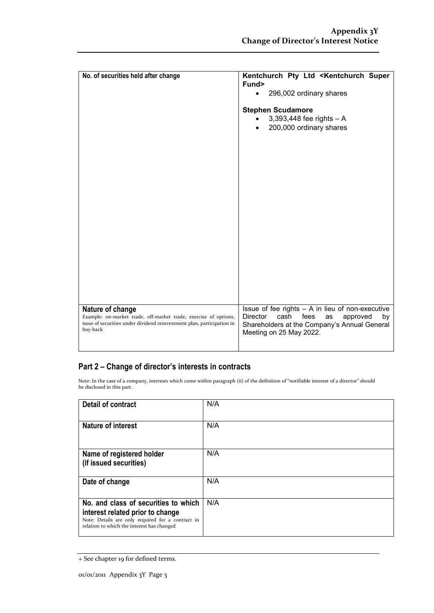| No. of securities held after change                                                                                                                                        | Kentchurch Pty Ltd <kentchurch super<br="">Fund&gt;<br/>296,002 ordinary shares<br/><math>\bullet</math><br/><b>Stephen Scudamore</b><br/><math>3,393,448</math> fee rights <math>- A</math><br/><math display="inline">\bullet</math><br/>200,000 ordinary shares<br/><math>\bullet</math></kentchurch> |
|----------------------------------------------------------------------------------------------------------------------------------------------------------------------------|----------------------------------------------------------------------------------------------------------------------------------------------------------------------------------------------------------------------------------------------------------------------------------------------------------|
| Nature of change<br>Example: on-market trade, off-market trade, exercise of options,<br>issue of securities under dividend reinvestment plan, participation in<br>buy-back | Issue of fee rights $- A$ in lieu of non-executive<br><b>Director</b><br>fees<br>cash<br>by<br>approved<br>as<br>Shareholders at the Company's Annual General<br>Meeting on 25 May 2022.                                                                                                                 |

### **Part 2 – Change of director's interests in contracts**

Note: In the case of a company, interests which come within paragraph (ii) of the definition of "notifiable interest of a director" should be disclosed in this part.

| <b>Detail of contract</b>                                                                                                                                                   | N/A |
|-----------------------------------------------------------------------------------------------------------------------------------------------------------------------------|-----|
| <b>Nature of interest</b>                                                                                                                                                   | N/A |
| Name of registered holder<br>(if issued securities)                                                                                                                         | N/A |
| Date of change                                                                                                                                                              | N/A |
| No. and class of securities to which<br>interest related prior to change<br>Note: Details are only required for a contract in<br>relation to which the interest has changed | N/A |

<sup>+</sup> See chapter 19 for defined terms.